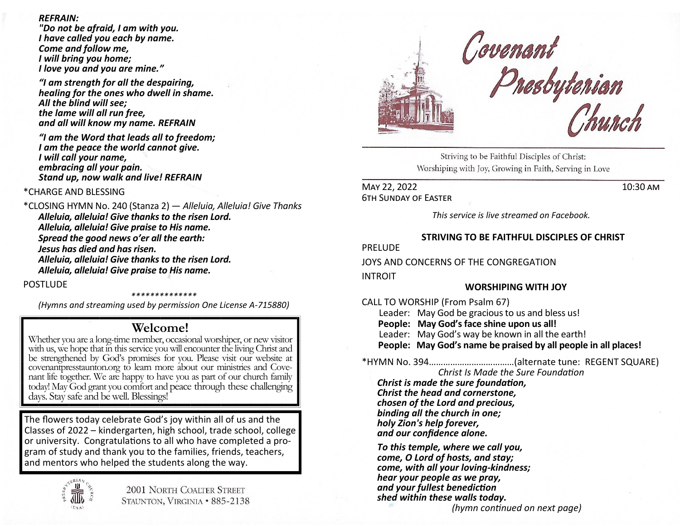### *REFRAIN:*

*"Do not be afraid, I am with you. I have called you each by name. Come and follow me, I will bring you home; I love you and you are mine."*

*"I am strength for all the despairing, healing for the ones who dwell in shame. All the blind will see; the lame will all run free, and all will know my name. REFRAIN*

*"I am the Word that leads all to freedom; I am the peace the world cannot give. I will call your name, embracing all your pain. Stand up, now walk and live! REFRAIN* 

# \*CHARGE AND BLESSING

\*CLOSING HYMN No. 240 (Stanza 2) — *Alleluia, Alleluia! Give Thanks Alleluia, alleluia! Give thanks to the risen Lord. Alleluia, alleluia! Give praise to His name. Spread the good news o'er all the earth: Jesus has died and has risen. Alleluia, alleluia! Give thanks to the risen Lord. Alleluia, alleluia! Give praise to His name.* 

### POSTLUDE

*\*\*\*\*\*\*\*\*\*\*\*\*\*\**

*(Hymns and streaming used by permission One License A-715880)*

# **Welcome!**

Whether you are a long-time member, occasional worshiper, or new visitor with us, we hope that in this service you will encounter the living Christ and be strengthened by God's promises for you. Please visit our website at covenantpresstaunton.org to learn more about our ministries and Covenant life together. We are happy to have you as part of our church family today! May God grant you comfort and peace through these challenging days. Stay safe and be well. Blessings!

The flowers today celebrate God's joy within all of us and the Classes of 2022 – kindergarten, high school, trade school, college or university. Congratulations to all who have completed a program of study and thank you to the families, friends, teachers, and mentors who helped the students along the way.





# Covenant<br>Presbytenian<br>Church

Striving to be Faithful Disciples of Christ: Worshiping with Joy, Growing in Faith, Serving in Love

MAY 22, 2022 10:30 AM 6th Sunday of Easter

*This service is live streamed on Facebook.* 

## **STRIVING TO BE FAITHFUL DISCIPLES OF CHRIST**

PRELUDE

JOYS AND CONCERNS OF THE CONGREGATION

INTROIT

### **WORSHIPING WITH JOY**

CALL TO WORSHIP (From Psalm 67)

 Leader: May God be gracious to us and bless us! **People: May God's face shine upon us all!** Leader: May God's way be known in all the earth! **People: May God's name be praised by all people in all places!**

\*HYMN No. 394………………………………(alternate tune: REGENT SQUARE)

*Christ Is Made the Sure Foundation Christ is made the sure foundation, Christ the head and cornerstone, chosen of the Lord and precious, binding all the church in one; holy Zion's help forever, and our confidence alone.*

*To this temple, where we call you, come, O Lord of hosts, and stay; come, with all your loving-kindness; hear your people as we pray, and your fullest benediction shed within these walls today.*

 *(hymn continued on next page)*